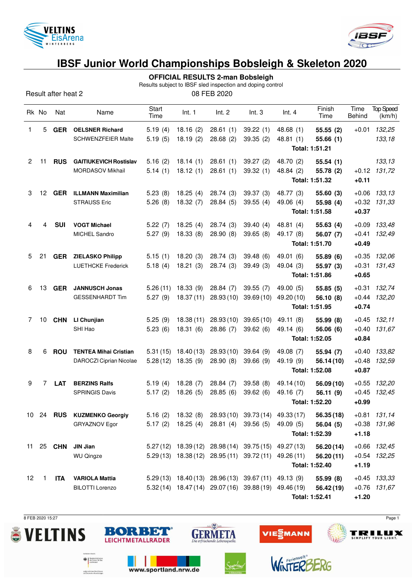



**OFFICIAL RESULTS 2-man Bobsleigh**

Results subject to IBSF sled inspection and doping control

Result after heat 2 08 FEB 2020

|              | Rk No        | Nat        | Name                                                     | Start<br>Time        | Int. 1                | Int. 2                | Int.3                                                                                                          | Int.4                                     | Finish<br>Time          | Time<br>Behind                | <b>Top Speed</b><br>(km/h)       |
|--------------|--------------|------------|----------------------------------------------------------|----------------------|-----------------------|-----------------------|----------------------------------------------------------------------------------------------------------------|-------------------------------------------|-------------------------|-------------------------------|----------------------------------|
| 1            | 5            | <b>GER</b> | <b>OELSNER Richard</b><br>SCHWENZFEIER Malte             | 5.19(4)<br>5.19(5)   | 18.16(2)<br>18.19(2)  | 28.61(1)<br>28.68(2)  | 39.22(1)<br>39.35(2)                                                                                           | 48.68 (1)<br>48.81(1)<br>Total: 1:51.21   | 55.55(2)<br>55.66(1)    | $+0.01$                       | 132,25<br>133,18                 |
| $\mathbf{2}$ | 11           | <b>RUS</b> | <b>GAITIUKEVICH Rostislav</b><br><b>MORDASOV Mikhail</b> | 5.16(2)<br>5.14(1)   | 18.14(1)<br>18.12(1)  | 28.61(1)<br>28.61(1)  | 39.27(2)<br>39.32(1)                                                                                           | 48.70 (2)<br>48.84 (2)<br>Total: 1:51.32  | 55.54(1)<br>55.78 (2)   | $+0.11$                       | 133,13<br>$+0.12$ 131,72         |
| 3            | 12           | <b>GER</b> | <b>ILLMANN Maximilian</b><br><b>STRAUSS Eric</b>         | 5.23(8)<br>5.26(8)   | 18.25(4)<br>18.32(7)  | 28.74(3)<br>28.84(5)  | 39.37(3)<br>39.55(4)                                                                                           | 48.77 (3)<br>49.06 (4)<br>Total: 1:51.58  | 55.60 (3)<br>55.98 (4)  | $+0.06$<br>$+0.37$            | 133,13<br>$+0.32$ $131,33$       |
| 4            | 4            | <b>SUI</b> | <b>VOGT Michael</b><br><b>MICHEL Sandro</b>              | 5.22(7)<br>5.27(9)   | 18.25(4)<br>18.33(8)  | 28.74(3)<br>28.90(8)  | 39.40(4)<br>39.65(8)                                                                                           | 48.81(4)<br>49.17 (8)<br>Total: 1:51.70   | 55.63(4)<br>56.07 (7)   | $+0.09$<br>$+0.41$<br>$+0.49$ | 133,48<br>132,49                 |
| 5            | 21           | <b>GER</b> | <b>ZIELASKO Philipp</b><br><b>LUETHCKE Frederick</b>     | 5.15(1)<br>5.18(4)   | 18.20(3)<br>18.21(3)  | 28.74(3)<br>28.74(3)  | 39.48(6)<br>39.49(3)                                                                                           | 49.01 (6)<br>49.04 (3)<br>Total: 1:51.86  | 55.89 (6)<br>55.97 (3)  | $+0.35$<br>$+0.31$<br>$+0.65$ | 132,06<br>131,43                 |
| 6            | 13           | <b>GER</b> | <b>JANNUSCH Jonas</b><br><b>GESSENHARDT Tim</b>          | 5.26(11)<br>5.27(9)  | 18.33(9)<br>18.37(11) | 28.84(7)<br>28.93(10) | 39.55(7)<br>39.69(10)                                                                                          | 49.00 (5)<br>49.20 (10)<br>Total: 1:51.95 | 55.85(5)<br>56.10 (8)   | $+0.31$<br>$+0.44$<br>$+0.74$ | 132,74<br>132,20                 |
| 7            | 10           | <b>CHN</b> | LI Chunjian<br>SHI Hao                                   | 5.25(9)<br>5.23(6)   | 18.38(11)<br>18.31(6) | 28.93(10)<br>28.86(7) | 39.65(10)<br>39.62(6)                                                                                          | 49.11 (8)<br>49.14 (6)<br>Total: 1:52.05  | 55.99(8)<br>56.06 (6)   | $+0.45$<br>$+0.40$<br>$+0.84$ | 132,11<br>131,67                 |
| 8            | 6            | <b>ROU</b> | <b>TENTEA Mihai Cristian</b><br>DAROCZI Ciprian Nicolae  | 5.31(15)<br>5.28(12) | 18.40(13)<br>18.35(9) | 28.93(10)<br>28.90(8) | 39.64(9)<br>39.66 (9)                                                                                          | 49.08 (7)<br>49.19 (9)<br>Total: 1:52.08  | 55.94 (7)<br>56.14(10)  | $+0.40$<br>$+0.48$<br>$+0.87$ | 133,82<br>132,59                 |
| 9            | 7            | <b>LAT</b> | <b>BERZINS Ralfs</b><br><b>SPRINGIS Davis</b>            | 5.19(4)<br>5.17(2)   | 18.28(7)<br>18.26(5)  | 28.84(7)<br>28.85(6)  | 39.58(8)<br>39.62(6)                                                                                           | 49.14 (10)<br>49.16 (7)<br>Total: 1:52.20 | 56.09(10)<br>56.11 (9)  | $+0.55$<br>$+0.45$<br>$+0.99$ | 132,20<br>132,45                 |
|              |              |            | 10 24 RUS KUZMENKO Georgiy<br>GRYAZNOV Egor              |                      |                       |                       | 5.16 (2) 18.32 (8) 28.93 (10) 39.73 (14) 49.33 (17)<br>5.17 (2) 18.25 (4) 28.81 (4) 39.56 (5) 49.09 (5)        | Total: 1:52.39                            | 56.35 (18)<br>56.04(5)  | $+1.18$                       | $+0.81$ 131,14<br>$+0.38$ 131,96 |
| 11           |              | 25 CHN     | JIN Jian<br><b>WU Qingze</b>                             |                      |                       |                       | 5.27 (12) 18.39 (12) 28.98 (14) 39.75 (15) 49.27 (13)<br>5.29 (13) 18.38 (12) 28.95 (11) 39.72 (11) 49.26 (11) | Total: 1:52.40                            | 56.20(14)<br>56.20(11)  | $+1.19$                       | $+0.66$ 132,45<br>$+0.54$ 132,25 |
| 12           | $\mathbf{1}$ | ITA        | <b>VARIOLA Mattia</b><br><b>BILOTTI Lorenzo</b>          |                      |                       |                       | 5.29 (13) 18.40 (13) 28.96 (13) 39.67 (11) 49.13 (9)<br>5.32 (14) 18.47 (14) 29.07 (16) 39.88 (19) 49.46 (19)  | Total: 1:52.41                            | 55.99 (8)<br>56.42 (19) | $+1.20$                       | $+0.45$ 133,33<br>$+0.76$ 131,67 |

8 FEB 2020 15:27 Page 1





www.sportland.nrw.de

BORBET

**Exploration** 

aufgrund eines Beschlussen<br>des Deutschen Bundestager





WinTERE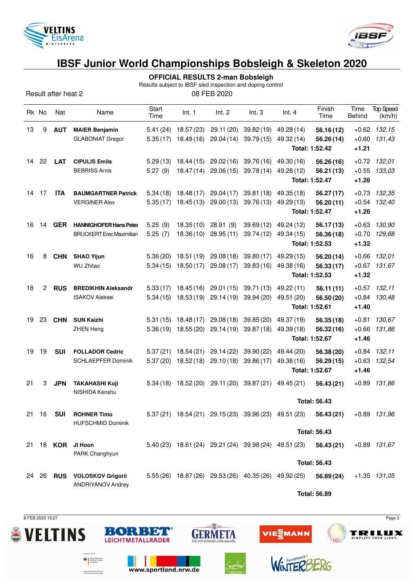



**OFFICIAL RESULTS 2-man Bobsleigh**

Results subject to IBSF sled inspection and doping control

Result after heat 2 08 FEB 2020

|    | Rk No | Nat        | Name                                                             | Start<br>Time        | Int. 1                   | Int. 2                   | Int.3                    | Int.4                                                                  | Finish<br>Time                   | Time<br>Behind                | <b>Top Speed</b><br>(km/h) |
|----|-------|------------|------------------------------------------------------------------|----------------------|--------------------------|--------------------------|--------------------------|------------------------------------------------------------------------|----------------------------------|-------------------------------|----------------------------|
| 13 | 9     | <b>AUT</b> | <b>MAIER Benjamin</b><br><b>GLABONIAT Gregor</b>                 | 5.41(24)<br>5.35(17) | 18.57(23)<br>18.49(16)   | 29.11 (20)<br>29.04(14)  | 39.82(19)<br>39.79(15)   | 49.28 (14)<br>49.32 (14)<br>Total: 1:52.42                             | 56.16(12)<br>56.26 (14)          | $+0.60$<br>$+1.21$            | $+0.62$ 132,15<br>131,43   |
| 14 | 22    | <b>LAT</b> | <b>CIPULIS Emils</b><br><b>BEBRISS Arnis</b>                     | 5.29(13)<br>5.27(9)  | 18.44 (15)<br>18.47(14)  | 29.02(16)<br>29.06(15)   | 39.76 (16)<br>39.78(14)  | 49.30 (16)<br>49.28 (12)<br>Total: 1:52.47                             | 56.26 (16)<br>56.21 (13)         | $+0.55$<br>$+1.26$            | $+0.72$ 132,01<br>133,03   |
| 14 | 17    | <b>ITA</b> | <b>BAUMGARTNER Patrick</b><br><b>VERGINER Alex</b>               | 5.34(18)<br>5.35(17) | 18.48(17)<br>18.45(13)   | 29.04(17)<br>29.00(13)   | 39.81(18)<br>39.76 (13)  | 49.35 (18)<br>49.29 (13)<br>Total: 1:52.47                             | 56.27(17)<br>56.20(11)           | $+0.73$<br>$+0.54$<br>$+1.26$ | 132,35<br>132,40           |
| 16 | 14    | <b>GER</b> | <b>HANNIGHOFER Hans Peter</b><br><b>BRUCKERT</b> Erec Maximilian | 5.25(9)<br>5.25(7)   | 18.35(10)<br>18.36(10)   | 28.91 (9)<br>28.95(11)   | 39.69(12)<br>39.74(12)   | 49.24 (12)<br>49.34 (15)<br>Total: 1:52.53                             | 56.17(13)<br>56.36 (18)          | $+0.63$<br>$+0.70$<br>$+1.32$ | 130,90<br>129,68           |
| 16 | 8     | <b>CHN</b> | <b>SHAO Yijun</b><br><b>WU Zhitao</b>                            | 5.36(20)<br>5.34(15) | 18.51 (19)<br>18.50(17)  | 29.08(18)<br>29.08(17)   | 39.80(17)<br>39.83(16)   | 49.29 (15)<br>49.38 (16)<br>Total: 1:52.53                             | 56.20 (14)<br>56.33(17)          | $+0.66$<br>$+1.32$            | 132,01<br>$+0.67$ 131,67   |
| 18 | 2     | <b>RUS</b> | <b>BREDIKHIN Aleksandr</b><br><b>ISAKOV Aleksei</b>              | 5.33(17)<br>5.34(15) | 18.45 (16)<br>18.53 (19) | 29.01(15)<br>29.14(19)   | 39.71 (13)<br>39.94 (20) | 49.22 (11)<br>49.51 (20)<br>Total: 1:52.61                             | 56.11(11)<br>56.50 (20)          | $+0.84$<br>$+1.40$            | $+0.57$ 132,11<br>130,48   |
| 19 | 23    | <b>CHN</b> | <b>SUN Kaizhi</b><br><b>ZHEN Heng</b>                            | 5.31(15)<br>5.36(19) | 18.48 (17)<br>18.55(20)  | 29.08 (18)<br>29.14 (19) | 39.85 (20)<br>39.87(18)  | 49.37 (19)<br>49.39 (18)<br>Total: 1:52.67                             | 56.35(18)<br>56.32(16)           | $+0.81$<br>$+0.66$<br>$+1.46$ | 130.67<br>131,86           |
| 19 | 19    | <b>SUI</b> | <b>FOLLADOR Cedric</b><br><b>SCHLAEPFER Dominik</b>              | 5.37(21)<br>5.37(20) | 18.54 (21)<br>18.52(18)  | 29.14(22)<br>29.10(18)   | 39.90(22)<br>39.86(17)   | 49.44 (20)<br>49.38 (16)<br>Total: 1:52.67                             | 56.38 (20)<br>56.29(15)          | $+0.84$<br>$+0.63$<br>$+1.46$ | 132,11<br>132,54           |
| 21 | 3     | <b>JPN</b> | <b>TAKAHASHI Koji</b><br>NISHIDA Kenshu                          | 5.34(18)             | 18.52 (20)               | 29.11 (20)               | 39.87(21)                | 49.45 (21)                                                             | 56.43(21)<br><b>Total: 56.43</b> | $+0.89$                       | 131,86                     |
|    | 21 16 | <b>SUI</b> | <b>ROHNER Timo</b><br><b>HUFSCHMID Dominik</b>                   |                      |                          |                          |                          | $5.37(21)$ $18.54(21)$ $29.15(23)$ $39.96(23)$ $49.51(23)$ $56.43(21)$ | <b>Total: 56.43</b>              |                               | +0.89 131,96               |
| 21 |       |            | 18 KOR JI Hoon<br>PARK Changhyun                                 |                      |                          |                          |                          | 5.40 (23) 18.61 (24) 29.21 (24) 39.98 (24) 49.51 (23) 56.43 (21)       | <b>Total: 56.43</b>              |                               | +0.89 131,67               |
|    | 24 26 |            | RUS VOLOSKOV Grigorii<br><b>ANDRIYANOV Andrey</b>                |                      |                          |                          |                          | 5.55 (26) 18.87 (26) 29.53 (26) 40.35 (26) 49.92 (25)                  | 56.89 (24)<br>Tatal: EC 00       |                               | $+1.35$ $131,05$           |

**Total: 56.89**



**Exploration** 

aufgrund eines Beschlussen<br>des Deutschen Bundestager



www.sportland.nrw.de



 $sin(\sum)$  is the set of  $\sum$ 



VIE EMANN



**TRILUX**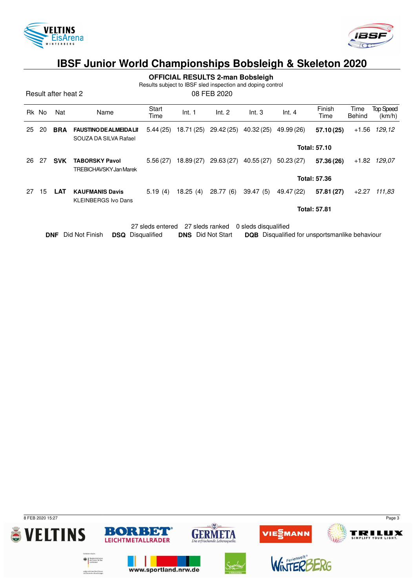



**OFFICIAL RESULTS 2-man Bobsleigh**

Results subject to IBSF sled inspection and doping control

Result after heat 2 08 FEB 2020

|    | Rk No                                                       | Nat        | Name                                                    | Start<br>Time | Int. 1     | Int. 2     | Int.3      | Int.4      | Finish<br>Time      | Time<br><b>Behind</b> | <b>Top Speed</b><br>(km/h) |
|----|-------------------------------------------------------------|------------|---------------------------------------------------------|---------------|------------|------------|------------|------------|---------------------|-----------------------|----------------------------|
| 25 | 20                                                          | <b>BRA</b> | <b>FAUSTINO DE ALMEIDA LII</b><br>SOUZA DA SILVA Rafael | 5.44(25)      | 18.71 (25) | 29.42 (25) | 40.32 (25) | 49.99 (26) | 57.10 (25)          | $+1.56$               | 129,12                     |
|    |                                                             |            |                                                         |               |            |            |            |            | <b>Total: 57.10</b> |                       |                            |
| 26 | 27                                                          | <b>SVK</b> | <b>TABORSKY Pavol</b><br>TREBICHAVSKY Jan Marek         | 5.56(27)      | 18.89 (27) | 29.63 (27) | 40.55 (27) | 50.23(27)  | 57.36 (26)          | $+1.82$               | 129,07                     |
|    |                                                             |            |                                                         |               |            |            |            |            | <b>Total: 57.36</b> |                       |                            |
| 27 | 15                                                          | <b>LAT</b> | <b>KAUFMANIS Davis</b><br><b>KLEINBERGS Ivo Dans</b>    | 5.19(4)       | 18.25(4)   | 28.77(6)   | 39.47(5)   | 49.47 (22) | 57.81 (27)          | $+2.27$               | 111,83                     |
|    |                                                             |            |                                                         |               |            |            |            |            | <b>Total: 57.81</b> |                       |                            |
|    |                                                             |            |                                                         |               |            |            |            |            |                     |                       |                            |
|    | 27 sleds ranked<br>0 sleds disqualified<br>27 sleds entered |            |                                                         |               |            |            |            |            |                     |                       |                            |

**DNF** Did Not Finish **DSQ** Disqualified **DNS** Did Not Start **DQB** Disqualified for unsportsmanlike behaviour

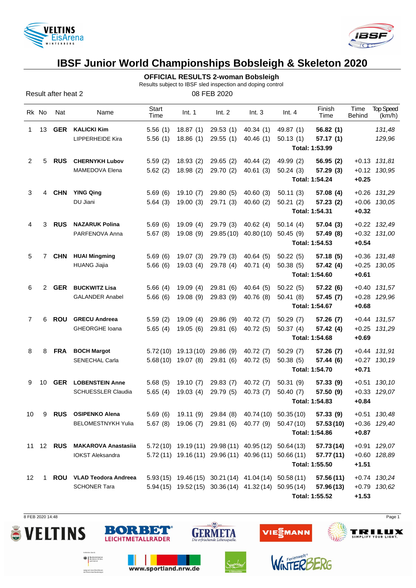

Result after heat 2



# **IBSF Junior World Championships Bobsleigh & Skeleton 2020**

#### **OFFICIAL RESULTS 2-woman Bobsleigh**

Results subject to IBSF sled inspection and doping control

|                | Rk No                | Nat        | Name                                    | Start<br>Time | Int. 1               | Int. 2                                                 | Int.3                 | Int.4                                                        | Finish<br>Time              | Time<br><b>Behind</b> | <b>Top Speed</b><br>(km/h)           |
|----------------|----------------------|------------|-----------------------------------------|---------------|----------------------|--------------------------------------------------------|-----------------------|--------------------------------------------------------------|-----------------------------|-----------------------|--------------------------------------|
| 1              | 13                   |            | <b>GER</b> KALICKI Kim                  | 5.56(1)       | 18.87 (1)            | 29.53 (1)                                              | 40.34 (1)             | 49.87 (1)                                                    | 56.82(1)                    |                       | 131,48                               |
|                |                      |            | LIPPERHEIDE Kira                        | 5.56(1)       | 18.86 (1)            | 29.55(1)                                               | 40.46(1)              | 50.13(1)                                                     | 57.17(1)                    |                       | 129,96                               |
|                |                      |            |                                         |               |                      |                                                        |                       |                                                              | Total: 1:53.99              |                       |                                      |
| 2              | 5                    | <b>RUS</b> | <b>CHERNYKH Lubov</b><br>MAMEDOVA Elena | 5.59(2)       | 18.93 (2)            | 29.65 (2)                                              | 40.44 (2)             | 49.99 (2)                                                    | 56.95(2)                    |                       | $+0.13$ $131,81$<br>$+0.12$ $130,95$ |
|                |                      |            |                                         | 5.62(2)       | 18.98 (2)            | 29.70 (2)                                              | 40.61 (3)             | 50.24(3)                                                     | 57.29 (3)<br>Total: 1:54.24 | $+0.25$               |                                      |
| 3              | 4                    | <b>CHN</b> | <b>YING Qing</b>                        | 5.69(6)       | 19.10 (7)            | 29.80 (5)                                              | 40.60(3)              | 50.11(3)                                                     | 57.08 (4)                   |                       | $+0.26$ 131,29                       |
|                |                      |            | DU Jiani                                | 5.64(3)       | 19.00(3)             | 29.71 (3)                                              | 40.60(2)              | 50.21(2)                                                     | 57.23(2)                    |                       | +0.06 130,05                         |
|                |                      |            |                                         |               |                      |                                                        |                       |                                                              | Total: 1:54.31              | $+0.32$               |                                      |
| 4              | 3                    | <b>RUS</b> | <b>NAZARUK Polina</b>                   | 5.69(6)       | 19.09 (4)            | 29.79 (3)                                              | 40.62 (4)             | 50.14(4)                                                     | 57.04(3)                    |                       | +0.22 132,49                         |
|                |                      |            | PARFENOVA Anna                          | 5.67(8)       | 19.08 (9)            |                                                        | 29.85 (10) 40.80 (10) | 50.45(9)                                                     | 57.49 (8)                   |                       | $+0.32$ $131,00$                     |
|                |                      |            |                                         |               |                      |                                                        |                       |                                                              | Total: 1:54.53              | $+0.54$               |                                      |
| 5.             | 7                    | <b>CHN</b> | <b>HUAI Mingming</b>                    | 5.69(6)       | 19.07 (3)            | 29.79 (3)                                              | 40.64 (5)             | 50.22(5)                                                     | 57.18(5)                    |                       | $+0.36$ $131,48$                     |
|                |                      |            | <b>HUANG Jiajia</b>                     | 5.66(6)       | 19.03 (4)            | 29.78 (4)                                              | 40.71 (4)             | 50.38(5)                                                     | 57.42 (4)                   |                       | $+0.25$ 130,05                       |
|                |                      |            |                                         |               |                      |                                                        |                       |                                                              | Total: 1:54.60              | $+0.61$               |                                      |
| 6              | $\mathbf{2}^{\circ}$ | <b>GER</b> | <b>BUCKWITZ Lisa</b>                    | 5.66(4)       | 19.09 (4)            | 29.81 (6)                                              | 40.64 (5)             | 50.22(5)                                                     | 57.22(6)                    |                       | +0.40 131,57                         |
|                |                      |            | <b>GALANDER Anabel</b>                  | 5.66(6)       | 19.08 (9)            | 29.83 (9) 40.76 (8)                                    |                       | 50.41(8)                                                     | 57.45 (7)                   |                       | +0.28 129,96                         |
|                |                      |            |                                         |               |                      |                                                        |                       |                                                              | Total: 1:54.67              | $+0.68$               |                                      |
| $\overline{7}$ | 6                    | ROU        | <b>GRECU Andreea</b>                    | 5.59(2)       | 19.09 (4)            | 29.86 (9)                                              | 40.72 (7)             | 50.29(7)                                                     | 57.26(7)                    |                       | $+0.44$ 131,57                       |
|                |                      |            | GHEORGHE Ioana                          | 5.65(4)       | 19.05 (6)            | 29.81 (6)                                              | 40.72 (5)             | 50.37(4)                                                     | 57.42 (4)                   |                       | $+0.25$ 131,29                       |
|                |                      |            |                                         |               |                      |                                                        |                       |                                                              | Total: 1:54.68              | $+0.69$               |                                      |
| 8              | 8                    | <b>FRA</b> | <b>BOCH Margot</b>                      |               |                      | 5.72 (10) 19.13 (10) 29.86 (9) 40.72 (7)               |                       | 50.29(7)                                                     | 57.26 (7)                   |                       | $+0.44$ 131,91                       |
|                |                      |            | SENECHAL Carla                          |               | $5.68(10)$ 19.07 (8) | 29.81 (6)                                              | 40.72 (5)             | 50.38(5)                                                     | 57.44 (6)<br>Total: 1:54.70 | $+0.71$               | $+0.27$ 130,19                       |
| 9              | 10                   | <b>GER</b> | <b>LOBENSTEIN Anne</b>                  | 5.68(5)       | 19.10 (7)            | 29.83 (7)                                              | 40.72 (7)             | 50.31(9)                                                     | 57.33 (9)                   |                       | $+0.51$ 130,10                       |
|                |                      |            | <b>SCHUESSLER Claudia</b>               | 5.65(4)       | 19.03 (4)            | 29.79 (5)                                              | 40.73 (7)             | 50.40(7)                                                     | 57.50 (9)                   |                       | $+0.33$ $129.07$                     |
|                |                      |            |                                         |               |                      |                                                        |                       |                                                              | Total: 1:54.83              | $+0.84$               |                                      |
|                |                      |            | 10 9 RUS OSIPENKO Alena                 |               |                      |                                                        |                       | 5.69 (6) 19.11 (9) 29.84 (8) 40.74 (10) 50.35 (10) 57.33 (9) |                             |                       | +0.51 130,48                         |
|                |                      |            | <b>BELOMESTNYKH Yulia</b>               |               |                      |                                                        |                       | 5.67 (8) 19.06 (7) 29.81 (6) 40.77 (9) 50.47 (10) 57.53 (10) |                             |                       | +0.36 129,40                         |
|                |                      |            |                                         |               |                      |                                                        |                       |                                                              | Total: 1:54.86              | $+0.87$               |                                      |
|                |                      |            | 11 12 RUS MAKAROVA Anastasiia           |               |                      | 5.72 (10) 19.19 (11) 29.98 (11) 40.95 (12) 50.64 (13)  |                       |                                                              | 57.73 (14)                  |                       | +0.91 129,07                         |
|                |                      |            | <b>IOKST Aleksandra</b>                 |               |                      | $5.72(11)$ 19.16 (11) 29.96 (11) 40.96 (11) 50.66 (11) |                       |                                                              | 57.77 (11)                  |                       | +0.60 128,89                         |
|                |                      |            |                                         |               |                      |                                                        |                       |                                                              | Total: 1:55.50              | $+1.51$               |                                      |
| 12             | 1                    |            | ROU VLAD Teodora Andreea                |               |                      | $5.93(15)$ 19.46(15) 30.21(14) 41.04(14) 50.58(11)     |                       |                                                              | 57.56 (11)                  |                       | +0.74 130,24                         |
|                |                      |            | <b>SCHONER Tara</b>                     |               |                      | $5.94(15)$ 19.52(15) 30.36(14) 41.32(14) 50.95(14)     |                       |                                                              | 57.96 (13)                  |                       | +0.79 130,62                         |
|                |                      |            |                                         |               |                      |                                                        |                       |                                                              | Total: 1:55.52              | $+1.53$               |                                      |

8 FEB 2020 14:48 Page 1





aufgrund eines Beschlusse<br>des Deutschen Bundestsos

BORBET

**LEICHTMETALLRÄDER** 





 $sin(1)$ 



WinTER

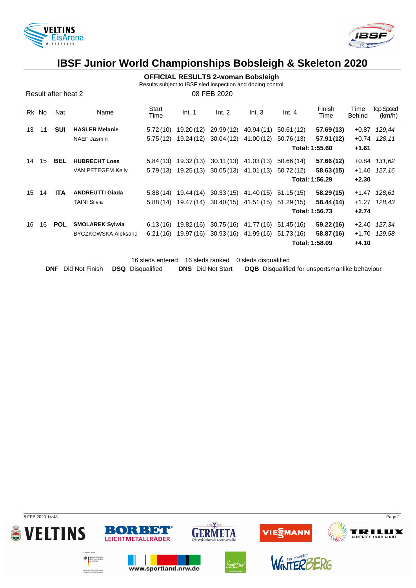



**OFFICIAL RESULTS 2-woman Bobsleigh**

Results subject to IBSF sled inspection and doping control

Result after heat 2 08 FEB 2020

|    | Rk No | Nat        | Name                       | Start<br>Time | Int. 1     | Int. 2                | Int.3                            | Int.4      | Finish<br>Time | Time<br>Behind | <b>Top Speed</b><br>(km/h) |
|----|-------|------------|----------------------------|---------------|------------|-----------------------|----------------------------------|------------|----------------|----------------|----------------------------|
| 13 | -11   | <b>SUI</b> | <b>HASLER Melanie</b>      | 5.72 (10)     | 19.20 (12) | 29.99 (12)            | 40.94 (11)                       | 50.61 (12) | 57.69(13)      |                | +0.87 129,44               |
|    |       |            | NAEF Jasmin                | 5.75(12)      |            | 19.24 (12) 30.04 (12) | 41.00 (12)                       | 50.76 (13) | 57.91 (12)     |                | $+0.74$ 128,11             |
|    |       |            |                            |               |            |                       |                                  |            | Total: 1:55.60 | $+1.61$        |                            |
| 14 | 15    | <b>BEL</b> | <b>HUBRECHT Loes</b>       | 5.84 (13)     | 19.32 (13) |                       | 30.11(13) 41.03(13)              | 50.66 (14) | 57.66 (12)     |                | $+0.84$ 131,62             |
|    |       |            | VAN PETEGEM Kelly          | 5.79(13)      |            |                       | 19.25 (13) 30.05 (13) 41.01 (13) | 50.72 (12) | 58.63(15)      |                | +1.46 127,16               |
|    |       |            |                            |               |            |                       |                                  |            | Total: 1:56.29 | $+2.30$        |                            |
|    | 15 14 | <b>ITA</b> | <b>ANDREUTTI Giada</b>     | 5.88 (14)     |            |                       | 19.44 (14) 30.33 (15) 41.40 (15) | 51.15 (15) | 58.29 (15)     |                | +1.47 128,61               |
|    |       |            | <b>TAINI Silvia</b>        | 5.88(14)      |            |                       | 19.47 (14) 30.40 (15) 41.51 (15) | 51.29 (15) | 58.44 (14)     |                | $+1.27$ 128,43             |
|    |       |            |                            |               |            |                       |                                  |            | Total: 1:56.73 | $+2.74$        |                            |
| 16 | 16    | POL        | <b>SMOLAREK Sylwia</b>     | 6.13(16)      |            |                       | 19.82 (16) 30.75 (16) 41.77 (16) | 51.45 (16) | 59.22(16)      |                | +2.40 127,34               |
|    |       |            | <b>BYCZKOWSKA Aleksand</b> | 6.21(16)      |            |                       | 19.97 (16) 30.93 (16) 41.99 (16) | 51.73 (16) | 58.87 (16)     |                | +1.70 129.58               |
|    |       |            |                            |               |            |                       |                                  |            | Total: 1:58.09 | $+4.10$        |                            |

16 sleds entered 16 sleds ranked 0 sleds disqualified **DNF** Did Not Finish **DSQ** Disqualified **DNS** Did Not Start **DQB** Disqualified for unsportsmanlike behaviour

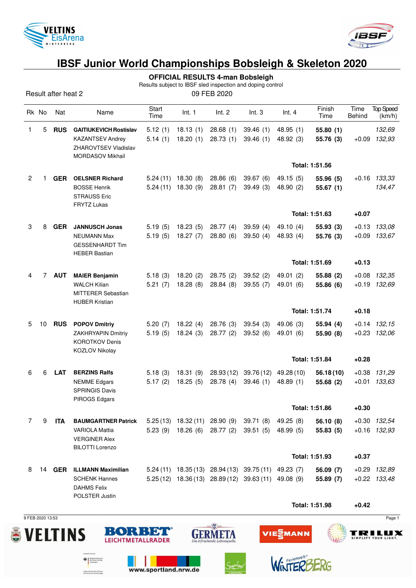



**OFFICIAL RESULTS 4-man Bobsleigh**

Results subject to IBSF sled inspection and doping control

Result after heat 2 09 FEB 2020

|                | Rk No          | Nat        | Name                                                             | Start<br>Time | Int. 1              | Int. 2                              | Int.3                                                 | Int.4      | Finish<br>Time | Time<br><b>Behind</b> | <b>Top Speed</b><br>(km/h) |
|----------------|----------------|------------|------------------------------------------------------------------|---------------|---------------------|-------------------------------------|-------------------------------------------------------|------------|----------------|-----------------------|----------------------------|
| 1              | 5              | <b>RUS</b> | <b>GAITIUKEVICH Rostislav</b>                                    | 5.12(1)       | 18.13(1)            | 28.68(1)                            | 39.46(1)                                              | 48.95(1)   | 55.80(1)       |                       | 132,69                     |
|                |                |            | <b>KAZANTSEV Andrey</b>                                          | 5.14(1)       | 18.20(1)            | 28.73(1)                            | 39.46(1)                                              | 48.92 (3)  | 55.76 (3)      | $+0.09$               | 132,93                     |
|                |                |            | <b>ZHAROVTSEV Vladislav</b>                                      |               |                     |                                     |                                                       |            |                |                       |                            |
|                |                |            | <b>MORDASOV Mikhail</b>                                          |               |                     |                                     |                                                       |            |                |                       |                            |
|                |                |            |                                                                  |               |                     |                                     |                                                       |            | Total: 1:51.56 |                       |                            |
| $\overline{2}$ | 1              | <b>GER</b> | <b>OELSNER Richard</b>                                           | 5.24(11)      | 18.30(8)            | 28.86(6)                            | 39.67 (6)                                             | 49.15(5)   | 55.96 (5)      | $+0.16$               | 133,33                     |
|                |                |            | <b>BOSSE Henrik</b><br><b>STRAUSS Eric</b><br><b>FRYTZ Lukas</b> | 5.24(11)      | 18.30(9)            | 28.81(7)                            | 39.49(3)                                              | 48.90 (2)  | 55.67(1)       |                       | 134,47                     |
|                |                |            |                                                                  |               |                     |                                     |                                                       |            | Total: 1:51.63 | $+0.07$               |                            |
| 3              | 8              | <b>GER</b> | <b>JANNUSCH Jonas</b>                                            | 5.19(5)       | 18.23(5)            | 28.77(4)                            | 39.59(4)                                              | 49.10 (4)  | 55.93(3)       | $+0.13$               | 133,08                     |
|                |                |            | <b>NEUMANN Max</b>                                               | 5.19(5)       | 18.27(7)            | 28.80(6)                            | 39.50(4)                                              | 48.93 (4)  | 55.76 (3)      |                       | $+0.09$ 133,67             |
|                |                |            | <b>GESSENHARDT Tim</b><br><b>HEBER Bastian</b>                   |               |                     |                                     |                                                       |            |                |                       |                            |
|                |                |            |                                                                  |               |                     |                                     |                                                       |            | Total: 1:51.69 | $+0.13$               |                            |
| 4              | $\overline{7}$ | <b>AUT</b> | <b>MAIER Benjamin</b>                                            | 5.18(3)       | 18.20(2)            | 28.75(2)                            | 39.52(2)                                              | 49.01(2)   | 55.88 (2)      | $+0.08$               | 132,35                     |
|                |                |            | <b>WALCH Kilian</b>                                              | 5.21(7)       | 18.28(8)            | 28.84(8)                            | 39.55(7)                                              | 49.01 (6)  | 55.86 (6)      |                       | $+0.19$ $132,69$           |
|                |                |            | <b>MITTERER Sebastian</b>                                        |               |                     |                                     |                                                       |            |                |                       |                            |
|                |                |            | <b>HUBER Kristian</b>                                            |               |                     |                                     |                                                       |            |                |                       |                            |
|                |                |            |                                                                  |               |                     |                                     |                                                       |            | Total: 1:51.74 | $+0.18$               |                            |
| 5              | 10             | <b>RUS</b> | <b>POPOV Dmitriy</b>                                             | 5.20(7)       | 18.22(4)            | 28.76 (3)                           | 39.54(3)                                              | 49.06 (3)  | 55.94 (4)      | $+0.14$               | 132,15                     |
|                |                |            | <b>ZAKHRYAPIN Dmitriy</b><br><b>KOROTKOV Denis</b>               | 5.19(5)       | 18.24(3)            | 28.77(2)                            | 39.52(6)                                              | 49.01 (6)  | 55.90 (8)      |                       | $+0.23$ $132,06$           |
|                |                |            | KOZLOV Nikolay                                                   |               |                     |                                     |                                                       |            |                |                       |                            |
|                |                |            |                                                                  |               |                     |                                     |                                                       |            | Total: 1:51.84 | $+0.28$               |                            |
| 6              | 6              | <b>LAT</b> | <b>BERZINS Ralfs</b>                                             | 5.18(3)       | 18.31(9)            | 28.93(12)                           | 39.76(12)                                             | 49.28 (10) | 56.18(10)      | $+0.38$               | 131,29                     |
|                |                |            | <b>NEMME</b> Edgars                                              | 5.17(2)       | 18.25(5)            | 28.78 (4)                           | 39.46(1)                                              | 48.89 (1)  | 55.68 (2)      | $+0.01$               | 133,63                     |
|                |                |            | <b>SPRINGIS Davis</b><br>PIROGS Edgars                           |               |                     |                                     |                                                       |            |                |                       |                            |
|                |                |            |                                                                  |               |                     |                                     |                                                       |            | Total: 1:51.86 | $+0.30$               |                            |
| 7              | 9              | <b>ITA</b> | <b>BAUMGARTNER Patrick</b>                                       |               |                     | $5.25(13)$ 18.32 $(11)$ 28.90 $(9)$ | 39.71(8)                                              | 49.25 (8)  | 56.10(8)       |                       | +0.30 132,54               |
|                |                |            | <b>VARIOLA Mattia</b>                                            | 5.23(9)       | 18.26 (6) 28.77 (2) |                                     | 39.51(5)                                              | 48.99 (5)  | 55.83(5)       |                       | $+0.16$ 132,93             |
|                |                |            | <b>VERGINER Alex</b>                                             |               |                     |                                     |                                                       |            |                |                       |                            |
|                |                |            | <b>BILOTTI Lorenzo</b>                                           |               |                     |                                     |                                                       |            | Total: 1:51.93 | $+0.37$               |                            |
|                |                |            |                                                                  |               |                     |                                     |                                                       |            |                |                       |                            |
| 8              | 14             |            | <b>GER</b> ILLMANN Maximilian                                    |               |                     |                                     | 5.24 (11) 18.35 (13) 28.94 (13) 39.75 (11) 49.23 (7)  |            | 56.09(7)       |                       | +0.29 132,89               |
|                |                |            | <b>SCHENK Hannes</b><br><b>DAHMS Felix</b>                       |               |                     |                                     | $5.25(12)$ 18.36 (13) 28.89 (12) 39.63 (11) 49.08 (9) |            | 55.89 (7)      |                       | $+0.22$ $133,48$           |
|                |                |            | POLSTER Justin                                                   |               |                     |                                     |                                                       |            |                |                       |                            |
|                |                |            |                                                                  |               |                     |                                     |                                                       |            | Total: 1:51.98 | $+0.42$               |                            |

9 FEB 2020 13:53 Page 1

**Exploration State** 

aufgrund eines Beschlussen<br>des Deutschen Bundestages





www.sportland.nrw.de





WinTERE



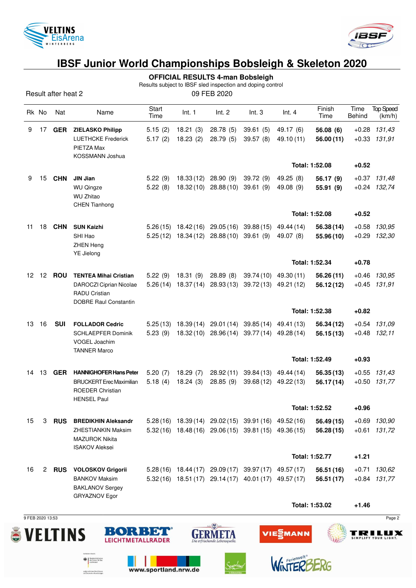



Results subject to IBSF sled inspection and doping control

Result after heat 2 09 FEB 2020

|    | Rk No          | Nat           | Name                                                                                                            | Start<br>Time        | Int. 1                   | Int. 2                            | Int.3                                                                                                          | Int.4                               | Finish<br>Time           | Time<br>Behind     | <b>Top Speed</b><br>(km/h)         |
|----|----------------|---------------|-----------------------------------------------------------------------------------------------------------------|----------------------|--------------------------|-----------------------------------|----------------------------------------------------------------------------------------------------------------|-------------------------------------|--------------------------|--------------------|------------------------------------|
| 9  | 17             | <b>GER</b>    | <b>ZIELASKO Philipp</b><br><b>LUETHCKE Frederick</b><br>PIETZA Max<br>KOSSMANN Joshua                           | 5.15(2)<br>5.17(2)   | 18.21(3)<br>18.23(2)     | 28.78 (5)<br>28.79(5)             | 39.61(5)<br>39.57(8)                                                                                           | 49.17 (6)<br>49.10 (11)             | 56.08 (6)<br>56.00 (11)  |                    | $+0.28$ 131,43<br>$+0.33$ $131,91$ |
|    |                |               |                                                                                                                 |                      |                          |                                   |                                                                                                                |                                     | Total: 1:52.08           | $+0.52$            |                                    |
| 9  | 15             | <b>CHN</b>    | <b>JIN Jian</b><br><b>WU Qingze</b><br><b>WU Zhitao</b><br><b>CHEN Tianhong</b>                                 | 5.22(9)<br>5.22(8)   | 18.33 (12)               | 28.90(9)<br>18.32 (10) 28.88 (10) | 39.72(9)<br>39.61(9)                                                                                           | 49.25 (8)<br>49.08 (9)              | 56.17 (9)<br>55.91 (9)   |                    | $+0.37$ 131,48<br>$+0.24$ 132,74   |
|    |                |               |                                                                                                                 |                      |                          |                                   |                                                                                                                |                                     | Total: 1:52.08           | $+0.52$            |                                    |
| 11 | 18             | <b>CHN</b>    | <b>SUN Kaizhi</b><br>SHI Hao<br><b>ZHEN Heng</b><br>YE Jielong                                                  | 5.26(15)<br>5.25(12) | 18.42 (16)<br>18.34 (12) | 29.05 (16)<br>28.88(10)           | 39.88(15)<br>39.61(9)                                                                                          | 49.44 (14)<br>49.07 (8)             | 56.38 (14)<br>55.96 (10) | $+0.58$<br>$+0.29$ | 130,95<br>132,30                   |
|    |                |               |                                                                                                                 |                      |                          |                                   |                                                                                                                |                                     | Total: 1:52.34           | $+0.78$            |                                    |
| 12 |                | 12 <b>ROU</b> | <b>TENTEA Mihai Cristian</b><br>DAROCZI Ciprian Nicolae<br><b>RADU Cristian</b><br><b>DOBRE Raul Constantin</b> | 5.22(9)<br>5.26(14)  | 18.31(9)<br>18.37(14)    | 28.89(8)<br>28.93(13)             | 39.74 (10)                                                                                                     | 49.30 (11)<br>39.72 (13) 49.21 (12) | 56.26(11)<br>56.12(12)   | $+0.46$            | 130,95<br>$+0.45$ 131,91           |
|    |                |               |                                                                                                                 |                      |                          |                                   |                                                                                                                |                                     | Total: 1:52.38           | $+0.82$            |                                    |
| 13 | 16             | <b>SUI</b>    | <b>FOLLADOR Cedric</b><br>SCHLAEPFER Dominik<br>VOGEL Joachim<br><b>TANNER Marco</b>                            | 5.25(13)<br>5.23(9)  | 18.39(14)<br>18.32 (10)  | 29.01 (14)<br>28.96(14)           | 39.85 (14)<br>39.77 (14)                                                                                       | 49.41 (13)<br>49.28 (14)            | 56.34 (12)<br>56.15 (13) | $+0.54$            | 131,09<br>$+0.48$ 132,11           |
|    |                |               |                                                                                                                 |                      |                          |                                   |                                                                                                                |                                     | Total: 1:52.49           | $+0.93$            |                                    |
| 14 | 13             | <b>GER</b>    | <b>HANNIGHOFER Hans Peter</b><br><b>BRUCKERT</b> Erec Maximilian<br>ROEDER Christian<br><b>HENSEL Paul</b>      | 5.20(7)<br>5.18(4)   | 18.29(7)<br>18.24(3)     | 28.92(11)<br>28.85(9)             | 39.68 (12)                                                                                                     | 39.84 (13) 49.44 (14)<br>49.22 (13) | 56.35(13)<br>56.17(14)   |                    | $+0.55$ 131,43<br>$+0.50$ 131,77   |
|    |                |               |                                                                                                                 |                      |                          |                                   |                                                                                                                |                                     | Total: 1:52.52           | $+0.96$            |                                    |
| 15 | 3              | <b>RUS</b>    | <b>BREDIKHIN Aleksandr</b><br><b>ZHESTIANKIN Maksim</b><br><b>MAZUROK Nikita</b><br><b>ISAKOV Aleksei</b>       |                      |                          |                                   | 5.28 (16) 18.39 (14) 29.02 (15) 39.91 (16) 49.52 (16)<br>5.32 (16) 18.48 (16) 29.06 (15) 39.81 (15) 49.36 (15) |                                     | 56.49 (15)<br>56.28(15)  |                    | $+0.69$ 130,90<br>$+0.61$ 131,72   |
|    |                |               |                                                                                                                 |                      |                          |                                   |                                                                                                                |                                     | Total: 1:52.77           | $+1.21$            |                                    |
| 16 | $\overline{2}$ | <b>RUS</b>    | <b>VOLOSKOV Grigorii</b>                                                                                        |                      |                          |                                   | 5.28 (16) 18.44 (17) 29.09 (17) 39.97 (17) 49.57 (17)                                                          |                                     | 56.51 (16)               |                    | $+0.71$ 130,62                     |
|    |                |               | <b>BANKOV Maksim</b><br><b>BAKLANOV Sergey</b><br>GRYAZNOV Egor                                                 |                      |                          | $5.32(16)$ 18.51(17) 29.14(17)    |                                                                                                                | 40.01 (17) 49.57 (17)               | 56.51 (17)               |                    | $+0.84$ 131,77                     |
|    |                |               |                                                                                                                 |                      |                          |                                   |                                                                                                                |                                     | Total: 1:53.02           | $+1.46$            |                                    |

9 FEB 2020 13:53 Page 2



 $\bigoplus_{\text{def} \text{ Inorm } t} \left\{\begin{array}{l}\text{Subsemins} \\ \text{des Inorm, f} \\ \text{and Heirut}\end{array}\right.$ 

sulgrund eines Beschlussen<br>des Deutschen Bundestages



www.sportland.nrw.de



WinTER

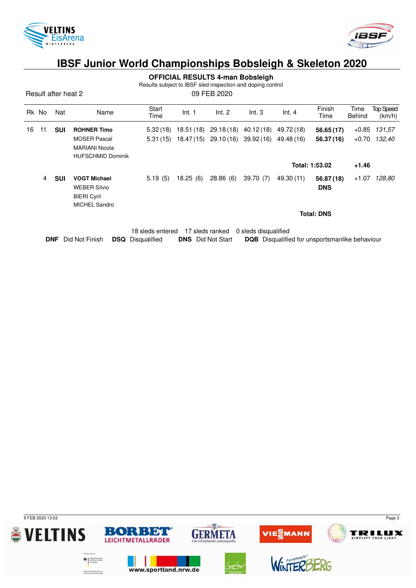



|  | <b>OFFICIAL RESULTS 4-man Bobsleigh</b> |  |
|--|-----------------------------------------|--|
|--|-----------------------------------------|--|

Results subject to IBSF sled inspection and doping control

Result after heat 2 09 FEB 2020

|    | Rk No | Nat        | Name                     | Start<br>Time | Int. 1     | Int. 2                | Int.3      | Int.4      | Finish<br>Time    | Time<br>Behind | <b>Top Speed</b><br>(km/h) |
|----|-------|------------|--------------------------|---------------|------------|-----------------------|------------|------------|-------------------|----------------|----------------------------|
| 16 | 11    | <b>SUI</b> | <b>ROHNER Timo</b>       | 5.32(18)      | 18.51 (18) | 29.18 (18)            | 40.12 (18) | 49.72 (18) | 56.65(17)         | $+0.85$        | 131,57                     |
|    |       |            | <b>MOSER Pascal</b>      | 5.31(15)      |            | 18.47 (15) 29.10 (16) | 39.92 (16) | 49.48 (16) | 56.37 (16)        | $+0.70$        | 132.40                     |
|    |       |            | <b>MARIANI Nicola</b>    |               |            |                       |            |            |                   |                |                            |
|    |       |            | <b>HUFSCHMID Dominik</b> |               |            |                       |            |            |                   |                |                            |
|    |       |            |                          |               |            |                       |            |            | Total: 1:53.02    | $+1.46$        |                            |
|    | 4     | <b>SUI</b> | <b>VOGT Michael</b>      | 5.19(5)       | 18.25(6)   | 28.86(6)              | 39.70(7)   | 49.30 (11) | 56.87 (18)        | $+1.07$        | 128,80                     |
|    |       |            | <b>WEBER Silvio</b>      |               |            |                       |            |            | <b>DNS</b>        |                |                            |
|    |       |            | <b>BIERI Cyril</b>       |               |            |                       |            |            |                   |                |                            |
|    |       |            | <b>MICHEL Sandro</b>     |               |            |                       |            |            |                   |                |                            |
|    |       |            |                          |               |            |                       |            |            | <b>Total: DNS</b> |                |                            |
|    |       |            |                          |               |            |                       |            |            |                   |                |                            |
|    |       |            |                          |               |            |                       |            |            |                   |                |                            |

|  |                                                   |                          | 18 sleds entered 17 sleds ranked 0 sleds disqualified |  |
|--|---------------------------------------------------|--------------------------|-------------------------------------------------------|--|
|  | <b>DNF</b> Did Not Finish <b>DSQ</b> Disqualified | <b>DNS</b> Did Not Start | <b>DQB</b> Disqualified for unsportsmanlike behaviour |  |

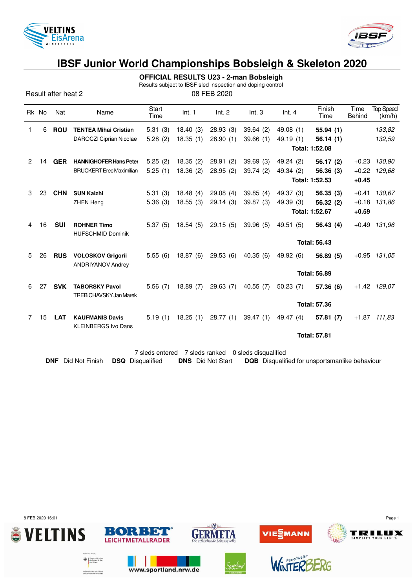



**OFFICIAL RESULTS U23 - 2-man Bobsleigh**

Results subject to IBSF sled inspection and doping control

Result after heat 2 08 FEB 2020

| Rk No |    | Nat        | Name                                                   | Start<br>Time | Int. 1   | Int. 2   | Int.3    | Int.4                     | Finish<br>Time      | Time<br><b>Behind</b> | <b>Top Speed</b><br>(km/h) |  |
|-------|----|------------|--------------------------------------------------------|---------------|----------|----------|----------|---------------------------|---------------------|-----------------------|----------------------------|--|
| 1.    | 6  | <b>ROU</b> | <b>TENTEA Mihai Cristian</b>                           | 5.31(3)       | 18.40(3) | 28.93(3) | 39.64(2) | 49.08(1)                  | 55.94(1)            |                       | 133,82                     |  |
|       |    |            | DAROCZI Ciprian Nicolae                                | 5.28(2)       | 18.35(1) | 28.90(1) | 39.66(1) | 49.19(1)                  | 56.14(1)            |                       | 132,59                     |  |
|       |    |            |                                                        |               |          |          |          | Total: 1:52.08            |                     |                       |                            |  |
| 2     | 14 | <b>GER</b> | <b>HANNIGHOFER Hans Peter</b>                          | 5.25(2)       | 18.35(2) | 28.91(2) | 39.69(3) | 49.24 (2)                 | 56.17(2)            | $+0.23$               | 130,90                     |  |
|       |    |            | <b>BRUCKERT</b> Erec Maximilian                        | 5.25(1)       | 18.36(2) | 28.95(2) | 39.74(2) | 49.34 (2)                 | 56.36(3)            | $+0.22$               | 129.68                     |  |
|       |    |            |                                                        |               |          |          |          |                           | Total: 1:52.53      | $+0.45$               |                            |  |
| 3     | 23 | <b>CHN</b> | <b>SUN Kaizhi</b>                                      | 5.31(3)       | 18.48(4) | 29.08(4) | 39.85(4) | 49.37 (3)                 | 56.35(3)            | $+0.41$               | 130,67                     |  |
|       |    |            | <b>ZHEN Heng</b>                                       | 5.36(3)       | 18.55(3) | 29.14(3) | 39.87(3) | 49.39 (3)                 | 56.32 (2)           | $+0.18$               | 131,86                     |  |
|       |    |            |                                                        |               |          |          |          | Total: 1:52.67<br>$+0.59$ |                     |                       |                            |  |
| 4     | 16 | <b>SUI</b> | <b>ROHNER Timo</b><br><b>HUFSCHMID Dominik</b>         | 5.37(5)       | 18.54(5) | 29.15(5) | 39.96(5) | 49.51 (5)                 | 56.43 (4)           | $+0.49$               | 131.96                     |  |
|       |    |            |                                                        |               |          |          |          |                           | <b>Total: 56.43</b> |                       |                            |  |
| 5     | 26 | <b>RUS</b> | <b>VOLOSKOV Grigorii</b><br><b>ANDRIYANOV Andrey</b>   | 5.55(6)       | 18.87(6) | 29.53(6) | 40.35(6) | 49.92 (6)                 | 56.89(5)            | $+0.95$               | 131.05                     |  |
|       |    |            |                                                        |               |          |          |          | <b>Total: 56.89</b>       |                     |                       |                            |  |
| 6     | 27 | <b>SVK</b> | <b>TABORSKY Pavol</b><br><b>TREBICHAVSKY Jan Marek</b> | 5.56(7)       | 18.89(7) | 29.63(7) | 40.55(7) | 50.23(7)                  | 57.36 (6)           |                       | +1.42 129,07               |  |
|       |    |            |                                                        |               |          |          |          | <b>Total: 57.36</b>       |                     |                       |                            |  |
| 7     | 15 | <b>LAT</b> | <b>KAUFMANIS Davis</b><br><b>KLEINBERGS Ivo Dans</b>   | 5.19(1)       | 18.25(1) | 28.77(1) | 39.47(1) | 49.47 (4)                 | 57.81(7)            | $+1.87$               | 111,83                     |  |
|       |    |            |                                                        |               |          |          |          |                           | <b>Total: 57.81</b> |                       |                            |  |

7 sleds entered 7 sleds ranked 0 sleds disqualified

**DNF** Did Not Finish **DSQ** Disqualified **DNS** Did Not Start **DQB** Disqualified for unsportsmanlike behaviour

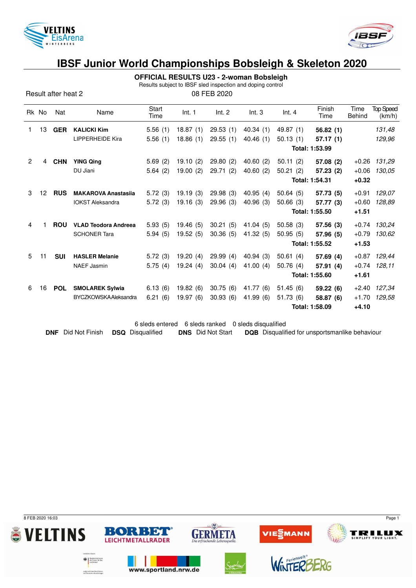



**OFFICIAL RESULTS U23 - 2-woman Bobsleigh**

Results subject to IBSF sled inspection and doping control

Result after heat 2 08 FEB 2020

|   | Rk No | Nat        | Name                        | Start<br>Time | Int. 1   | Int. 2    | Int.3       | Int.4          | Finish<br>Time | Time<br><b>Behind</b> | <b>Top Speed</b><br>(km/h) |  |
|---|-------|------------|-----------------------------|---------------|----------|-----------|-------------|----------------|----------------|-----------------------|----------------------------|--|
| 1 | 13    | <b>GER</b> | <b>KALICKI Kim</b>          | 5.56(1)       | 18.87(1) | 29.53(1)  | 40.34(1)    | 49.87 (1)      | 56.82(1)       |                       | 131,48                     |  |
|   |       |            | <b>LIPPERHEIDE Kira</b>     | 5.56(1)       | 18.86(1) | 29.55(1)  | 40.46 (1)   | 50.13(1)       | 57.17(1)       |                       | 129,96                     |  |
|   |       |            |                             |               |          |           |             | Total: 1:53.99 |                |                       |                            |  |
| 2 | 4     | <b>CHN</b> | <b>YING Qing</b>            | 5.69(2)       | 19.10(2) | 29.80(2)  | 40.60(2)    | 50.11(2)       | 57.08 (2)      | $+0.26$               | 131,29                     |  |
|   |       |            | DU Jiani                    | 5.64(2)       | 19.00(2) | 29.71 (2) | 40.60 $(2)$ | 50.21(2)       | 57.23 (2)      | $+0.06$               | 130.05                     |  |
|   |       |            |                             |               |          |           |             | Total: 1:54.31 | $+0.32$        |                       |                            |  |
| 3 | 12    | <b>RUS</b> | <b>MAKAROVA Anastasija</b>  | 5.72(3)       | 19.19(3) | 29.98(3)  | 40.95(4)    | 50.64(5)       | 57.73 (5)      | $+0.91$               | 129.07                     |  |
|   |       |            | <b>IOKST Aleksandra</b>     | 5.72(3)       | 19.16(3) | 29.96(3)  | 40.96 (3)   | 50.66(3)       | 57.77 (3)      | $+0.60$               | 128,89                     |  |
|   |       |            |                             |               |          |           |             | Total: 1:55.50 | $+1.51$        |                       |                            |  |
| 4 |       | <b>ROU</b> | <b>VLAD Teodora Andreea</b> | 5.93(5)       | 19.46(5) | 30.21(5)  | 41.04(5)    | 50.58(3)       | 57.56 (3)      | $+0.74$               | 130.24                     |  |
|   |       |            | <b>SCHONER Tara</b>         | 5.94(5)       | 19.52(5) | 30.36(5)  | 41.32 (5)   | 50.95(5)       | 57.96 (5)      | $+0.79$               | 130.62                     |  |
|   |       |            |                             |               |          |           |             | Total: 1:55.52 | $+1.53$        |                       |                            |  |
| 5 | 11    | <b>SUI</b> | <b>HASLER Melanie</b>       | 5.72(3)       | 19.20(4) | 29.99(4)  | 40.94(3)    | 50.61(4)       | 57.69(4)       | $+0.87$               | 129,44                     |  |
|   |       |            | <b>NAEF Jasmin</b>          | 5.75(4)       | 19.24(4) | 30.04(4)  | 41.00 $(4)$ | 50.76(4)       | 57.91 (4)      | $+0.74$               | 128.11                     |  |
|   |       |            |                             |               |          |           |             | Total: 1:55.60 | $+1.61$        |                       |                            |  |
| 6 | 16    | <b>POL</b> | <b>SMOLAREK Sylwia</b>      | 6.13(6)       | 19.82(6) | 30.75(6)  | 41.77 (6)   | 51.45(6)       | 59.22(6)       | $+2.40$               | 127,34                     |  |
|   |       |            | <b>BYCZKOWSKAAleksandra</b> | 6.21(6)       | 19.97(6) | 30.93(6)  | 41.99 (6)   | 51.73(6)       | 58.87 (6)      | $+1.70$               | 129.58                     |  |
|   |       |            |                             |               |          |           |             |                | Total: 1:58.09 | $+4.10$               |                            |  |
|   |       |            |                             |               |          |           |             |                |                |                       |                            |  |

6 sleds entered 6 sleds ranked 0 sleds disqualified **DNF** Did Not Finish **DSQ** Disqualified **DNS** Did Not Start **DQB** Disqualified for unsportsmanlike behaviour